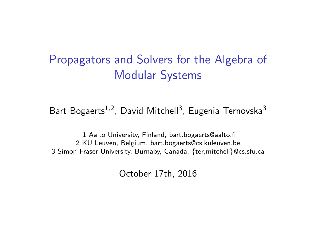## <span id="page-0-0"></span>Propagators and Solvers for the Algebra of Modular Systems

Bart Bogaerts<sup>1,2</sup>, David Mitchell<sup>3</sup>, Eugenia Ternovska<sup>3</sup>

1 Aalto University, Finland, bart.bogaerts@aalto.fi 2 KU Leuven, Belgium, bart.bogaerts@cs.kuleuven.be 3 Simon Fraser University, Burnaby, Canada, {ter,mitchell}@cs.sfu.ca

October 17th, 2016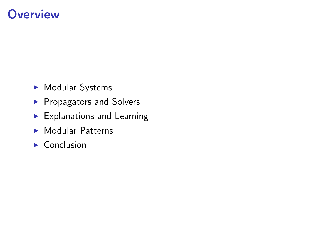## **Overview**

- Modular Systems
- **Propagators and Solvers**
- $\blacktriangleright$  Explanations and Learning
- $\blacktriangleright$  Modular Patterns
- $\blacktriangleright$  Conclusion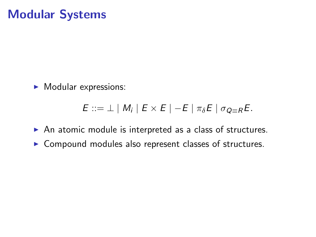## Modular Systems

 $\blacktriangleright$  Modular expressions:

$$
E ::= \perp | M_i | E \times E | -E | \pi_{\delta} E | \sigma_{Q \equiv R} E.
$$

- $\triangleright$  An atomic module is interpreted as a class of structures.
- $\triangleright$  Compound modules also represent classes of structures.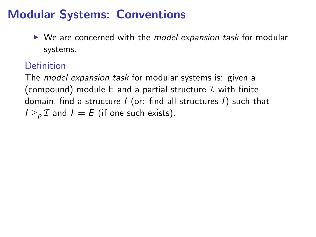# Modular Systems: Conventions

 $\triangleright$  We are concerned with the *model expansion task* for modular systems.

#### Definition

The *model expansion task* for modular systems is: given a (compound) module E and a partial structure  $\mathcal I$  with finite domain, find a structure I (or: find all structures I) such that  $I \geq_{p} \mathcal{I}$  and  $I \models E$  (if one such exists).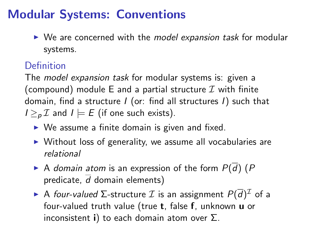# Modular Systems: Conventions

 $\triangleright$  We are concerned with the model expansion task for modular systems.

#### Definition

The *model expansion task* for modular systems is: given a (compound) module E and a partial structure  $\mathcal I$  with finite domain, find a structure  $I$  (or: find all structures  $I$ ) such that  $I \geq_{p} \mathcal{I}$  and  $I \models E$  (if one such exists).

- $\triangleright$  We assume a finite domain is given and fixed.
- $\triangleright$  Without loss of generality, we assume all vocabularies are relational
- A domain atom is an expression of the form  $P(\overline{d})$  (P predicate,  $\overline{d}$  domain elements)
- ► A four-valued ∑-structure  $\mathcal I$  is an assignment  $P(\overline d)^{\mathcal I}$  of a four-valued truth value (true t, false f, unknown u or inconsistent i) to each domain atom over  $\Sigma$ .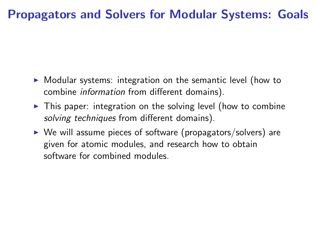## Propagators and Solvers for Modular Systems: Goals

- $\triangleright$  Modular systems: integration on the semantic level (how to combine information from different domains).
- $\triangleright$  This paper: integration on the solving level (how to combine solving techniques from different domains).
- $\triangleright$  We will assume pieces of software (propagators/solvers) are given for atomic modules, and research how to obtain software for combined modules.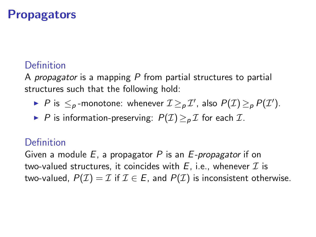### **Propagators**

#### Definition

A propagator is a mapping  $P$  from partial structures to partial structures such that the following hold:

- ▶ P is  $\leq_p$ -monotone: whenever  $\mathcal{I} \geq_p \mathcal{I}'$ , also  $P(\mathcal{I}) \geq_p P(\mathcal{I}')$ .
- ▶ P is information-preserving:  $P(\mathcal{I}) > p \mathcal{I}$  for each  $\mathcal{I}$ .

#### **Definition**

Given a module  $E$ , a propagator P is an  $E$ -propagator if on two-valued structures, it coincides with  $E$ , i.e., whenever  $\mathcal I$  is two-valued,  $P(\mathcal{I}) = \mathcal{I}$  if  $\mathcal{I} \in E$ , and  $P(\mathcal{I})$  is inconsistent otherwise.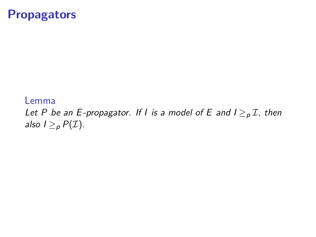#### **Propagators**

#### Lemma

Let P be an E-propagator. If I is a model of E and  $I \geq_{p} I$ , then also  $I \geq_p P(\mathcal{I}).$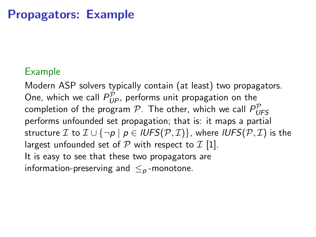### Propagators: Example

#### Example

Modern ASP solvers typically contain (at least) two propagators. One, which we call  $P_{UP}^{\mathcal{P}}$ , performs unit propagation on the completion of the program  ${\cal P}.$  The other, which we call  $P_{U\!F\!S}^{\cal P}$ performs unfounded set propagation; that is: it maps a partial structure *I* to  $I \cup \{\neg p \mid p \in IUFF(p, I)\}\$ , where  $IUFF(p, I)$  is the largest unfounded set of  $P$  with respect to  $I$  [\[1\]](#page-0-0). It is easy to see that these two propagators are information-preserving and  $\leq_p$ -monotone.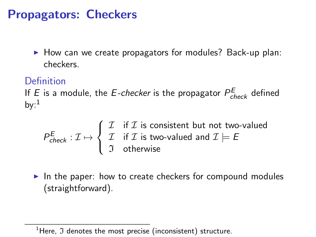## Propagators: Checkers

 $\blacktriangleright$  How can we create propagators for modules? Back-up plan: checkers.

#### Definition

If E is a module, the E-checker is the propagator  $P_{check}^E$  defined by: $<sup>1</sup>$ </sup>

$$
P_{check}^E: \mathcal{I} \mapsto \left\{ \begin{array}{ll} \mathcal{I} & \text{if } \mathcal{I} \text{ is consistent but not two-valued} \\ \mathcal{I} & \text{if } \mathcal{I} \text{ is two-valued and } \mathcal{I} \models E \\ \mathcal{I} & \text{otherwise} \end{array} \right.
$$

In the paper: how to create checkers for compound modules (straightforward).

 $1$ Here,  $\Im$  denotes the most precise (inconsistent) structure.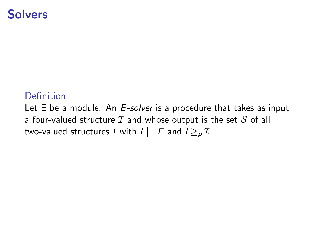#### **Solvers**

#### Definition

Let E be a module. An E-solver is a procedure that takes as input a four-valued structure  $I$  and whose output is the set  $S$  of all two-valued structures I with  $I \models E$  and  $I \geq p \mathcal{I}$ .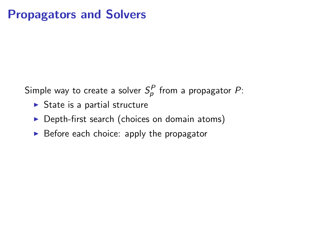### Propagators and Solvers

Simple way to create a solver  $S^P_\rho$  from a propagator  $P$ :

- $\triangleright$  State is a partial structure
- $\triangleright$  Depth-first search (choices on domain atoms)
- $\triangleright$  Before each choice: apply the propagator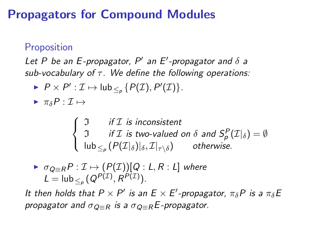## Propagators for Compound Modules

#### Proposition

Let P be an E-propagator,  $P'$  an E'-propagator and  $\delta$  a sub-vocabulary of  $\tau$ . We define the following operations:

 $P \times P' : \mathcal{I} \mapsto \mathsf{lub}_{\leq_p} \{P(\mathcal{I}), P'(\mathcal{I})\}.$ 

 $\blacktriangleright \pi_s P : \mathcal{I} \mapsto$ 

$$
\begin{cases}\n\begin{aligned}\n\mathfrak{I} & \text{if } \mathcal{I} \text{ is inconsistent} \\
\mathfrak{I} & \text{if } \mathcal{I} \text{ is two-valued on } \delta \text{ and } S_p^P(\mathcal{I}|_{\delta}) = \emptyset \\
\vert \text{lub}_{\leq p} (P(\mathcal{I}|\delta)|_{\delta}, \mathcal{I}|_{\tau \setminus \delta}) & \text{otherwise.} \n\end{aligned}\n\end{cases}
$$

$$
\triangleright \ \sigma_{Q \equiv R} P : \mathcal{I} \mapsto (P(\mathcal{I}))[Q : L, R : L] \ \text{where} \ \mathcal{L} = \text{lub}_{\leq_P} (Q^{P(\mathcal{I})}, R^{P(\mathcal{I})}).
$$

It then holds that  $P \times P'$  is an  $E \times E'$ -propagator,  $\pi_{\delta} P$  is a  $\pi_{\delta} E$ propagator and  $\sigma_{\mathcal{Q}=R}$  is a  $\sigma_{\mathcal{Q}=R}E$ -propagator.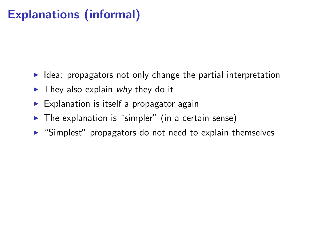# Explanations (informal)

- $\blacktriangleright$  Idea: propagators not only change the partial interpretation
- $\blacktriangleright$  They also explain why they do it
- $\triangleright$  Explanation is itself a propagator again
- $\blacktriangleright$  The explanation is "simpler" (in a certain sense)
- $\triangleright$  "Simplest" propagators do not need to explain themselves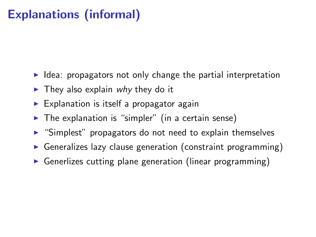# Explanations (informal)

- $\blacktriangleright$  Idea: propagators not only change the partial interpretation
- $\blacktriangleright$  They also explain why they do it
- $\triangleright$  Explanation is itself a propagator again
- $\blacktriangleright$  The explanation is "simpler" (in a certain sense)
- $\triangleright$  "Simplest" propagators do not need to explain themselves
- $\triangleright$  Generalizes lazy clause generation (constraint programming)
- $\triangleright$  Generlizes cutting plane generation (linear programming)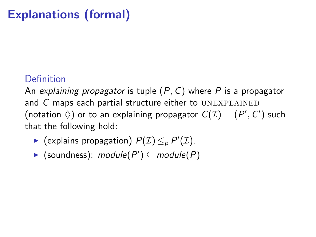# Explanations (formal)

### Definition

An explaining propagator is tuple  $(P, C)$  where P is a propagator and  $C$  maps each partial structure either to UNEXPLAINED (notation  $\Diamond$ ) or to an explaining propagator  $C(\mathcal{I}) = (P', C')$  such that the following hold:

- ► (explains propagation)  $P(\mathcal{I}) \leq_P P'(\mathcal{I})$ .
- ▶ (soundness):  $module(P') \subseteq module(P)$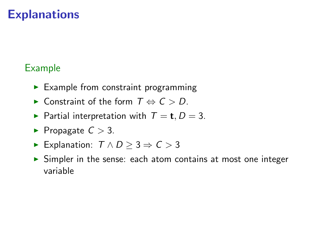### **Explanations**

#### Example

- $\blacktriangleright$  Example from constraint programming
- $\triangleright$  Constraint of the form  $T \Leftrightarrow C > D$ .
- Partial interpretation with  $T = t$ ,  $D = 3$ .
- Propagate  $C > 3$ .
- ► Explanation:  $T \wedge D > 3 \Rightarrow C > 3$
- $\triangleright$  Simpler in the sense: each atom contains at most one integer variable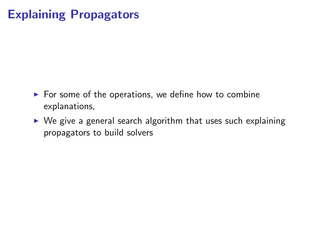# Explaining Propagators

- $\triangleright$  For some of the operations, we define how to combine explanations,
- $\triangleright$  We give a general search algorithm that uses such explaining propagators to build solvers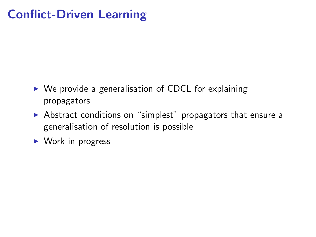# Conflict-Driven Learning

- $\triangleright$  We provide a generalisation of CDCL for explaining propagators
- $\triangleright$  Abstract conditions on "simplest" propagators that ensure a generalisation of resolution is possible
- $\triangleright$  Work in progress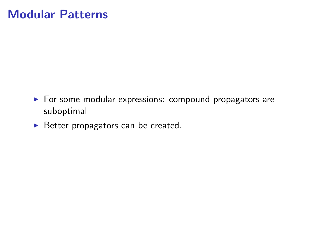### Modular Patterns

- $\blacktriangleright$  For some modular expressions: compound propagators are suboptimal
- $\blacktriangleright$  Better propagators can be created.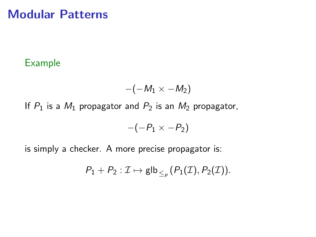#### Modular Patterns

#### Example

$$
-(-M_1\times -M_2)
$$

If  $P_1$  is a  $M_1$  propagator and  $P_2$  is an  $M_2$  propagator,

$$
-(-P_1 \times -P_2)
$$

is simply a checker. A more precise propagator is:

$$
P_1+P_2:\mathcal{I}\mapsto \mathsf{glb}_{\leq_p}(P_1(\mathcal{I}),P_2(\mathcal{I})).
$$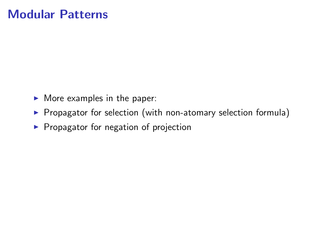### Modular Patterns

- $\blacktriangleright$  More examples in the paper:
- $\triangleright$  Propagator for selection (with non-atomary selection formula)
- $\blacktriangleright$  Propagator for negation of projection